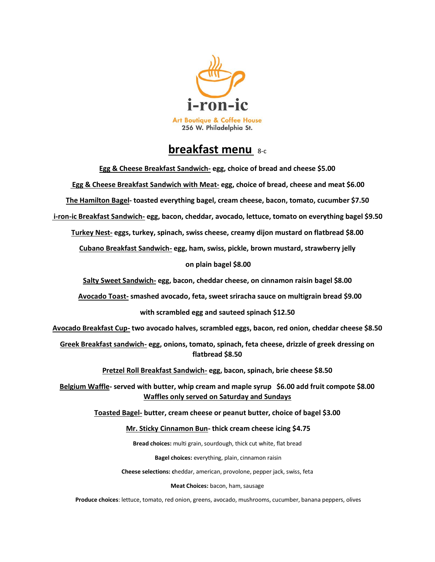

## **breakfast menu** 8-c

| Egg & Cheese Breakfast Sandwich- egg, choice of bread and cheese \$5.00                                                                              |
|------------------------------------------------------------------------------------------------------------------------------------------------------|
| Egg & Cheese Breakfast Sandwich with Meat- egg, choice of bread, cheese and meat \$6.00                                                              |
| The Hamilton Bagel-toasted everything bagel, cream cheese, bacon, tomato, cucumber \$7.50                                                            |
| i-ron-ic Breakfast Sandwich- egg, bacon, cheddar, avocado, lettuce, tomato on everything bagel \$9.50                                                |
| Turkey Nest- eggs, turkey, spinach, swiss cheese, creamy dijon mustard on flatbread \$8.00                                                           |
| Cubano Breakfast Sandwich- egg, ham, swiss, pickle, brown mustard, strawberry jelly                                                                  |
| on plain bagel \$8.00                                                                                                                                |
| Salty Sweet Sandwich- egg, bacon, cheddar cheese, on cinnamon raisin bagel \$8.00                                                                    |
| Avocado Toast- smashed avocado, feta, sweet sriracha sauce on multigrain bread \$9.00                                                                |
| with scrambled egg and sauteed spinach \$12.50                                                                                                       |
| Avocado Breakfast Cup- two avocado halves, scrambled eggs, bacon, red onion, cheddar cheese \$8.50                                                   |
| Greek Breakfast sandwich- egg, onions, tomato, spinach, feta cheese, drizzle of greek dressing on<br>flatbread \$8.50                                |
| Pretzel Roll Breakfast Sandwich- egg, bacon, spinach, brie cheese \$8.50                                                                             |
| Belgium Waffle- served with butter, whip cream and maple syrup \$6.00 add fruit compote \$8.00<br><b>Waffles only served on Saturday and Sundays</b> |
| Toasted Bagel- butter, cream cheese or peanut butter, choice of bagel \$3.00                                                                         |
| Mr. Sticky Cinnamon Bun-thick cream cheese icing \$4.75                                                                                              |
| Bread choices: multi grain, sourdough, thick cut white, flat bread                                                                                   |
| Bagel choices: everything, plain, cinnamon raisin                                                                                                    |
| Cheese selections: cheddar, american, provolone, pepper jack, swiss, feta                                                                            |
| Meat Choices: bacon, ham, sausage                                                                                                                    |

**Produce choices**: lettuce, tomato, red onion, greens, avocado, mushrooms, cucumber, banana peppers, olives